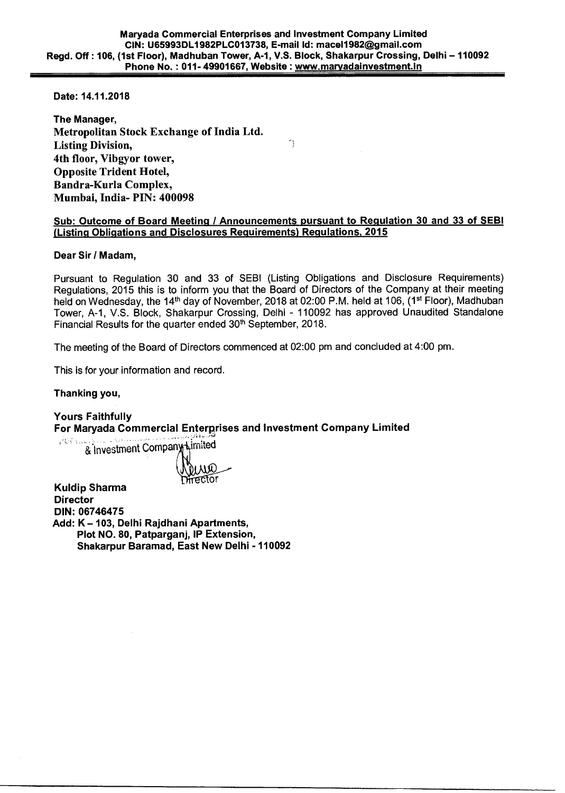**Date: 14.11.2018** 

**The Manager, Metropolitan Stock Exchange of India Ltd. Listing Division, 4th floor, Vibgyor tower, Opposite Trident Hotel, Bandra-Kurla Complex, Mumbai, India- PIN: 400098** 

### **Sub: Outcome of Board Meeting / Announcements pursuant to Regulation 30 and 33 of SEBI (Listing Obligations and Disclosures Requirements) Regulations, 2015**

 $\bigcap$ 

### **Dear Sir / Madam,**

Pursuant to Regulation 30 and 33 of SEBI (Listing Obligations and Disclosure Requirements) Regulations, 2015 this is to inform you that the Board of Directors of the Company at their meeting held on Wednesday, the 14<sup>th</sup> day of November, 2018 at 02:00 P.M. held at 106, (1<sup>st</sup> Floor), Madhuban Tower, A-1, V.S. Block, Shakarpur Crossing, Delhi - 110092 has approved Unaudited Standalone Financial Results for the quarter ended 30<sup>th</sup> September, 2018.

The meeting of the Board of Directors commenced at 02:00 pm and concluded at 4:00 pm.

This is for your information and record.

## **Thanking you,**

**Yours Faithfully For Maryada Commercial Enterprises and Investment Company Limited** 

& Investment Company Limited

≠ctor

**Kuldip Sharma Director** 

**DIN: 06746475** 

**Add: K —103, Delhi Rajdhani Apartments, Plot NO. 80, Patparganj, IP Extension, Shakarpur Baramad, East New Delhi - 110092**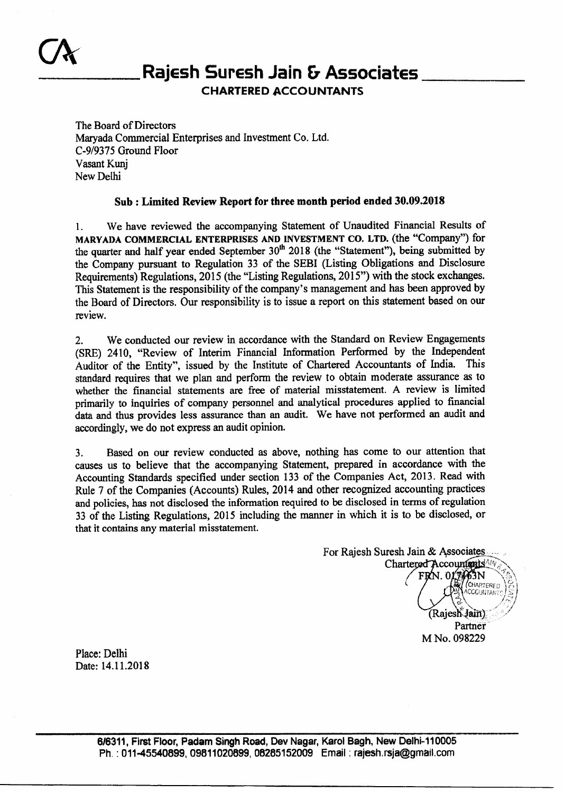# **Rajesh Suresh Jain & Associates**

**CHARTERED ACCOUNTANTS** 

The Board of Directors Maryada Commercial Enterprises and Investment Co. Ltd. C-9/9375 Ground Floor Vasant Kunj New Delhi

# **Sub : Limited Review Report for three month period ended 30.09.2018**

1. We have reviewed the accompanying Statement of Unaudited Financial Results of **MARYADA COMMERCIAL ENTERPRISES AND INVESTMENT CO. LTD.** (the "Company") for the quarter and half year ended September  $30<sup>th</sup>$  2018 (the "Statement"), being submitted by the Company pursuant to Regulation 33 of the SEBI (Listing Obligations and Disclosure Requirements) Regulations, 2015 (the "Listing Regulations, 2015") with the stock exchanges. This Statement is the responsibility of the company's management and has been approved by the Board of Directors. Our responsibility is to issue a report on this statement based on our review.

2. We conducted our review in accordance with the Standard on Review Engagements (SRE) 2410, "Review of Interim Financial Information Performed by the Independent Auditor of the Entity", issued by the Institute of Chartered Accountants of India. This standard requires that we plan and perform the review to obtain moderate assurance as to whether the financial statements are free of material misstatement. A review is limited primarily to inquiries of company personnel and analytical procedures applied to financial data and thus provides less assurance than an audit. We have not performed an audit and accordingly, we do not express an audit opinion.

3. Based on our review conducted as above, nothing has come to our attention that causes us to believe that the accompanying Statement, prepared in accordance with the Accounting Standards specified under section 133 of the Companies Act, 2013. Read with Rule 7 of the Companies (Accounts) Rules, 2014 and other recognized accounting practices and policies, has not disclosed the information required to be disclosed in terms of regulation 33 of the Listing Regulations, 2015 including the manner in which it is to be disclosed, or that it contains any material misstatement.

For Rajesh Suresh Jain & Associates Chartered Accountants<sup>AIN</sup>  $3N$ (CHARTERED CCOUNTAI Rajesh Jain) Partner M No. 098229

Place: Delhi Date: 14.11.2018